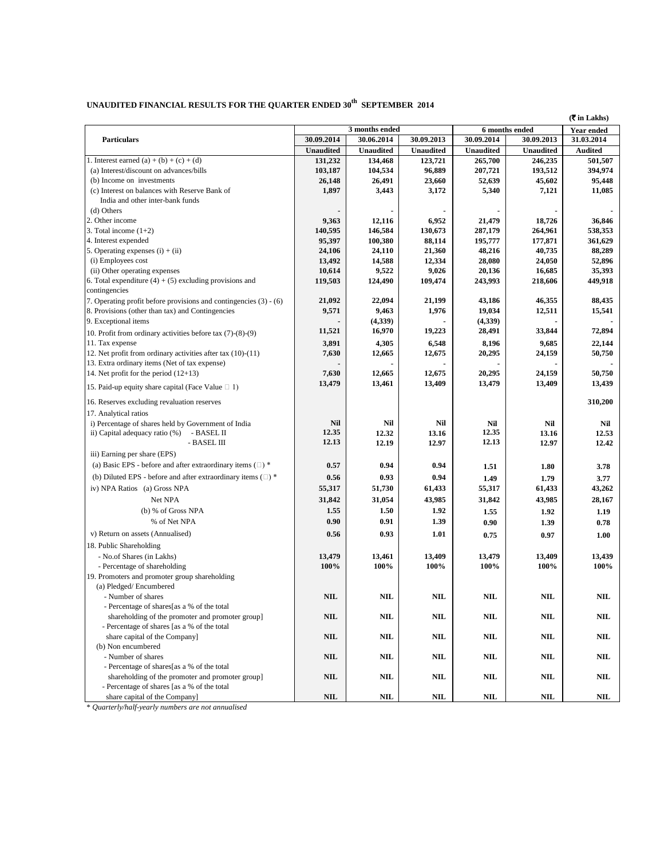## UNAUDITED FINANCIAL RESULTS FOR THE QUARTER ENDED  $30^{\rm th}$  SEPTEMBER 2014

|                                                                       |                  |                  |                  |                  |                  | $(\overline{\mathbf{\overline{z}}}$ in Lakhs) |
|-----------------------------------------------------------------------|------------------|------------------|------------------|------------------|------------------|-----------------------------------------------|
|                                                                       | 3 months ended   |                  |                  |                  | 6 months ended   | Year ended                                    |
| <b>Particulars</b>                                                    | 30.09.2014       | 30.06.2014       | 30.09.2013       | 30.09.2014       | 30.09.2013       | 31.03.2014                                    |
|                                                                       | <b>Unaudited</b> | <b>Unaudited</b> | <b>Unaudited</b> | <b>Unaudited</b> | <b>Unaudited</b> | <b>Audited</b>                                |
| 1. Interest earned (a) + (b) + (c) + (d)                              | 131,232          | 134,468          | 123,721          | 265,700          | 246,235          | 501,507                                       |
| (a) Interest/discount on advances/bills                               | 103,187          | 104,534          | 96,889           | 207,721          | 193,512          | 394,974                                       |
| (b) Income on investments                                             | 26,148           | 26,491           | 23,660           | 52,639           | 45,602           | 95,448                                        |
| (c) Interest on balances with Reserve Bank of                         | 1,897            | 3,443            | 3,172            | 5,340            | 7,121            | 11,085                                        |
| India and other inter-bank funds                                      |                  |                  |                  |                  |                  |                                               |
| (d) Others                                                            |                  |                  |                  |                  |                  |                                               |
| 2. Other income                                                       | 9,363            | 12,116           | 6,952            | 21,479           | 18,726           | 36,846                                        |
| 3. Total income $(1+2)$                                               | 140,595          | 146,584          | 130.673          | 287,179          | 264,961          | 538,353                                       |
| 4. Interest expended                                                  | 95,397           | 100,380          | 88,114           | 195,777          | 177,871          | 361,629                                       |
| 5. Operating expenses $(i) + (ii)$                                    | 24,106           | 24,110           | 21,360           | 48,216           | 40,735           | 88,289                                        |
| (i) Employees cost                                                    | 13,492           | 14,588           | 12,334           | 28,080           | 24,050           | 52,896                                        |
| (ii) Other operating expenses                                         | 10,614           | 9,522            | 9,026            | 20,136           | 16,685           | 35,393                                        |
| 6. Total expenditure $(4) + (5)$ excluding provisions and             | 119,503          | 124,490          | 109,474          | 243,993          | 218,606          | 449,918                                       |
| contingencies                                                         |                  |                  |                  |                  |                  |                                               |
| 7. Operating profit before provisions and contingencies (3) - (6)     | 21,092           | 22,094           | 21,199           | 43,186           | 46,355           | 88,435                                        |
| 8. Provisions (other than tax) and Contingencies                      | 9,571            | 9,463            | 1,976            | 19,034           | 12,511           | 15,541                                        |
| 9. Exceptional items                                                  |                  | (4,339)          |                  | (4,339)          |                  |                                               |
| 10. Profit from ordinary activities before tax $(7)-(8)-(9)$          | 11,521           | 16,970           | 19,223           | 28,491           | 33,844           | 72,894                                        |
| 11. Tax expense                                                       | 3,891            | 4,305            | 6,548            | 8,196            | 9,685            | 22,144                                        |
| 12. Net profit from ordinary activities after tax (10)-(11)           | 7,630            | 12,665           | 12,675           | 20,295           | 24,159           | 50,750                                        |
| 13. Extra ordinary items (Net of tax expense)                         |                  |                  |                  |                  |                  |                                               |
| 14. Net profit for the period $(12+13)$                               | 7,630            | 12,665           | 12,675           | 20,295           | 24,159           | 50,750                                        |
|                                                                       | 13,479           | 13,461           | 13,409           | 13,479           | 13,409           | 13,439                                        |
| 15. Paid-up equity share capital (Face Value $\Box$ 1)                |                  |                  |                  |                  |                  |                                               |
| 16. Reserves excluding revaluation reserves                           |                  |                  |                  |                  |                  | 310,200                                       |
| 17. Analytical ratios                                                 |                  |                  |                  |                  |                  |                                               |
| i) Percentage of shares held by Government of India                   | <b>Nil</b>       | Nil              | Nil              | Nil              | Nil              | Nil                                           |
| ii) Capital adequacy ratio (%)<br>- BASEL II                          | 12.35            | 12.32            | 13.16            | 12.35            | 13.16            | 12.53                                         |
| - BASEL III                                                           | 12.13            | 12.19            | 12.97            | 12.13            | 12.97            | 12.42                                         |
| iii) Earning per share (EPS)                                          |                  |                  |                  |                  |                  |                                               |
| (a) Basic EPS - before and after extraordinary items $($ $\Box$ $)$ * | 0.57             | 0.94             | 0.94             |                  |                  |                                               |
|                                                                       |                  |                  |                  | 1.51             | 1.80             | 3.78                                          |
| (b) Diluted EPS - before and after extraordinary items $(\square)^*$  | 0.56             | 0.93             | 0.94             | 1.49             | 1.79             | 3.77                                          |
| iv) NPA Ratios (a) Gross NPA                                          | 55,317           | 51,730           | 61,433           | 55,317           | 61,433           | 43,262                                        |
| Net NPA                                                               | 31,842           | 31,054           | 43,985           | 31,842           | 43,985           | 28,167                                        |
| (b) % of Gross NPA                                                    | 1.55             | 1.50             | 1.92             | 1.55             | 1.92             | 1.19                                          |
| % of Net NPA                                                          | 0.90             | 0.91             | 1.39             | 0.90             | 1.39             | 0.78                                          |
| v) Return on assets (Annualised)                                      | 0.56             | 0.93             | 1.01             | 0.75             | 0.97             | 1.00                                          |
| 18. Public Shareholding                                               |                  |                  |                  |                  |                  |                                               |
|                                                                       |                  |                  |                  |                  |                  |                                               |
| - No.of Shares (in Lakhs)                                             | 13,479           | 13,461           | 13,409           | 13,479           | 13,409           | 13,439                                        |
| - Percentage of shareholding                                          | 100%             | 100%             | 100%             | 100%             | 100%             | 100%                                          |
| 19. Promoters and promoter group shareholding                         |                  |                  |                  |                  |                  |                                               |
| (a) Pledged/Encumbered                                                |                  |                  |                  |                  |                  |                                               |
| - Number of shares                                                    | <b>NIL</b>       | <b>NIL</b>       | NIL              | <b>NIL</b>       | <b>NIL</b>       | <b>NIL</b>                                    |
| - Percentage of shares[as a % of the total                            |                  |                  |                  |                  |                  |                                               |
| shareholding of the promoter and promoter group]                      | $\bf NIL$        | NIL              | NIL              | NIL              | NIL              | NIL                                           |
| - Percentage of shares [as a % of the total                           |                  |                  |                  |                  |                  |                                               |
| share capital of the Company]                                         | <b>NIL</b>       | NIL              | NIL              | <b>NIL</b>       | <b>NIL</b>       | NIL                                           |
| (b) Non encumbered                                                    |                  |                  |                  |                  |                  |                                               |
| - Number of shares                                                    | <b>NIL</b>       | NIL              | NIL              | NIL              | <b>NIL</b>       | NIL                                           |
| - Percentage of shares[as a % of the total                            |                  |                  |                  |                  |                  |                                               |
| shareholding of the promoter and promoter group]                      | <b>NIL</b>       | NIL              | NIL              | NIL              | <b>NIL</b>       | NIL                                           |
| - Percentage of shares [as a % of the total                           |                  |                  |                  |                  |                  |                                               |
| share capital of the Companyl                                         | <b>NIL</b>       | $\mathbf{NIL}$   | $\mathbf{NIL}$   | NIL              | NIL              | NIL                                           |

\* *Quarterly/half-yearly numbers are not annualised*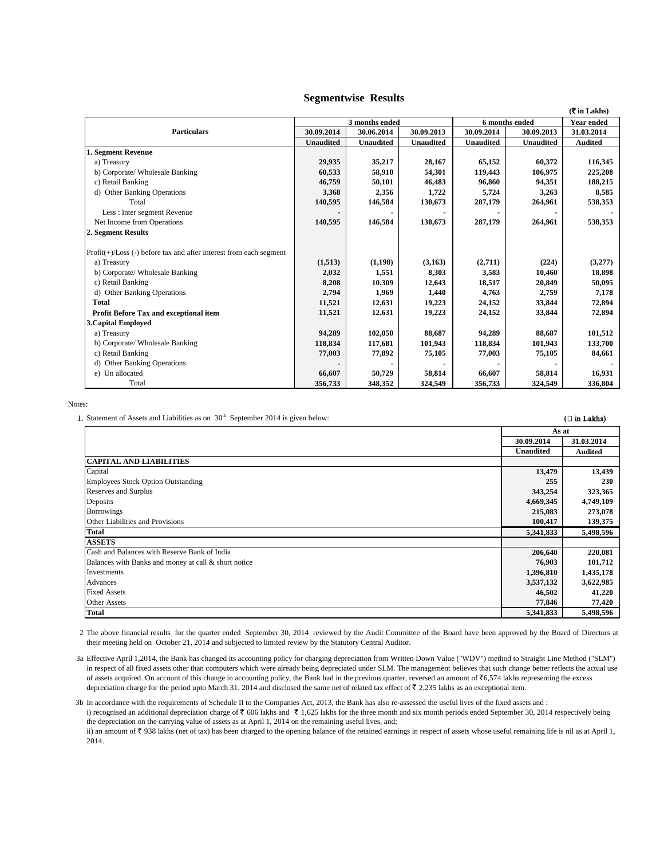## **Segmentwise Results**

|                                                                       |                  |                  |                  |                  |                  | $(5 \in \mathsf{Lakhs})$ |
|-----------------------------------------------------------------------|------------------|------------------|------------------|------------------|------------------|--------------------------|
|                                                                       | 3 months ended   |                  |                  | 6 months ended   |                  | <b>Year ended</b>        |
| <b>Particulars</b>                                                    | 30.09.2014       | 30.06.2014       | 30.09.2013       | 30.09.2014       | 30.09.2013       | 31.03.2014               |
|                                                                       | <b>Unaudited</b> | <b>Unaudited</b> | <b>Unaudited</b> | <b>Unaudited</b> | <b>Unaudited</b> | <b>Audited</b>           |
| 1. Segment Revenue                                                    |                  |                  |                  |                  |                  |                          |
| a) Treasury                                                           | 29,935           | 35,217           | 28,167           | 65,152           | 60.372           | 116,345                  |
| b) Corporate/ Wholesale Banking                                       | 60,533           | 58,910           | 54,301           | 119,443          | 106,975          | 225,208                  |
| c) Retail Banking                                                     | 46,759           | 50,101           | 46,483           | 96,860           | 94,351           | 188,215                  |
| d) Other Banking Operations                                           | 3,368            | 2,356            | 1,722            | 5,724            | 3,263            | 8,585                    |
| Total                                                                 | 140,595          | 146,584          | 130,673          | 287,179          | 264,961          | 538,353                  |
| Less : Inter segment Revenue                                          |                  |                  |                  |                  |                  |                          |
| Net Income from Operations                                            | 140,595          | 146,584          | 130,673          | 287,179          | 264,961          | 538,353                  |
| 2. Segment Results                                                    |                  |                  |                  |                  |                  |                          |
| $Profit(+) / Loss(-) before tax and after interest from each segment$ |                  |                  |                  |                  |                  |                          |
| a) Treasury                                                           | (1,513)          | (1,198)          | (3,163)          | (2,711)          | (224)            | (3,277)                  |
| b) Corporate/ Wholesale Banking                                       | 2,032            | 1,551            | 8,303            | 3,583            | 10,460           | 18,898                   |
| c) Retail Banking                                                     | 8,208            | 10,309           | 12,643           | 18,517           | 20,849           | 50,095                   |
| d) Other Banking Operations                                           | 2,794            | 1,969            | 1,440            | 4,763            | 2,759            | 7,178                    |
| <b>Total</b>                                                          | 11,521           | 12.631           | 19,223           | 24,152           | 33,844           | 72,894                   |
| Profit Before Tax and exceptional item                                | 11,521           | 12,631           | 19,223           | 24,152           | 33,844           | 72,894                   |
| <b>3. Capital Employed</b>                                            |                  |                  |                  |                  |                  |                          |
| a) Treasury                                                           | 94,289           | 102,050          | 88,687           | 94,289           | 88,687           | 101,512                  |
| b) Corporate/ Wholesale Banking                                       | 118,834          | 117,681          | 101,943          | 118,834          | 101,943          | 133,700                  |
| c) Retail Banking                                                     | 77,003           | 77,892           | 75,105           | 77,003           | 75,105           | 84,661                   |
| d) Other Banking Operations                                           |                  |                  |                  |                  |                  |                          |
| e) Un allocated                                                       | 66,607           | 50,729           | 58,814           | 66,607           | 58,814           | 16,931                   |
| Total                                                                 | 356,733          | 348,352          | 324,549          | 356,733          | 324,549          | 336,804                  |

Notes:

1. Statement of Assets and Liabilities as on  $30<sup>th</sup>$  September 2014 is given below: **(** $\Box$ **in Lakhs) (** $\Box$ **in Lakhs)** 

|                                                      |                  | As at          |  |  |
|------------------------------------------------------|------------------|----------------|--|--|
|                                                      | 30.09.2014       | 31.03.2014     |  |  |
|                                                      | <b>Unaudited</b> | <b>Audited</b> |  |  |
| <b>CAPITAL AND LIABILITIES</b>                       |                  |                |  |  |
| Capital                                              | 13,479           | 13,439         |  |  |
| <b>Employees Stock Option Outstanding</b>            | 255              | 230            |  |  |
| Reserves and Surplus                                 | 343,254          | 323,365        |  |  |
| Deposits                                             | 4,669,345        | 4,749,109      |  |  |
| Borrowings                                           | 215,083          | 273,078        |  |  |
| Other Liabilities and Provisions                     | 100,417          | 139,375        |  |  |
| <b>Total</b>                                         | 5,341,833        | 5,498,596      |  |  |
| <b>ASSETS</b>                                        |                  |                |  |  |
| Cash and Balances with Reserve Bank of India         | 206,640          | 220,081        |  |  |
| Balances with Banks and money at call & short notice | 76,903           | 101,712        |  |  |
| Investments                                          | 1,396,810        | 1,435,178      |  |  |
| Advances                                             | 3,537,132        | 3,622,985      |  |  |
| <b>Fixed Assets</b>                                  | 46,502           | 41,220         |  |  |
| Other Assets                                         | 77,846           | 77,420         |  |  |
| <b>Total</b>                                         | 5,341,833        | 5,498,596      |  |  |

2 The above financial results for the quarter ended September 30, 2014 reviewed by the Audit Committee of the Board have been approved by the Board of Directors at their meeting held on October 21, 2014 and subjected to limited review by the Statutory Central Auditor.

<sup>3</sup>a Effective April 1,2014, the Bank has changed its accounting policy for charging depreciation from Written Down Value ("WDV") method to Straight Line Method ("SLM") in respect of all fixed assets other than computers which were already being depreciated under SLM. The management believes that such change better reflects the actual use of assets acquired. On account of this change in accounting policy, the Bank had in the previous quarter, reversed an amount of `6,574 lakhs representing the excess depreciation charge for the period upto March 31, 2014 and disclosed the same net of related tax effect of  $\bar{\tau}$  2,235 lakhs as an exceptional item.

<sup>3</sup>b In accordance with the requirements of Schedule II to the Companies Act, 2013, the Bank has also re-assessed the useful lives of the fixed assets and : i) recognised an additional depreciation charge of  $\bar{\tau}$  606 lakhs and  $\bar{\tau}$  1,625 lakhs for the three month and six month periods ended September 30, 2014 respectively being the depreciation on the carrying value of assets as at April 1, 2014 on the remaining useful lives, and; ii) an amount of  $\overline{\xi}$  938 lakhs (net of tax) has been charged to the opening balance of the retained earnings in respect of assets whose useful remaining life is nil as at April 1, 2014.